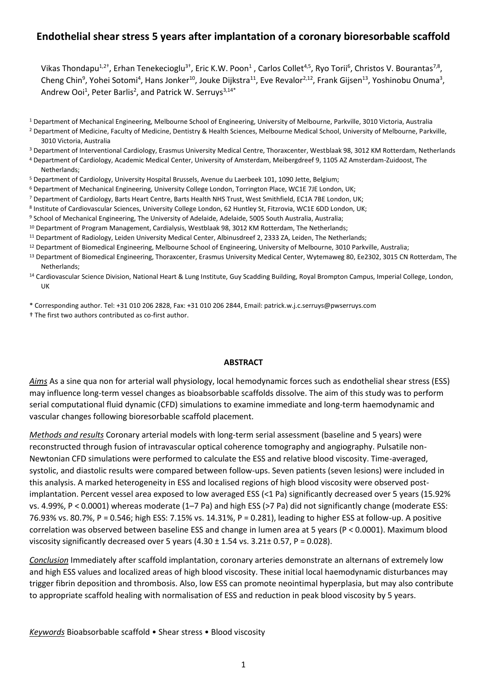# **Endothelial shear stress 5 years after implantation of a coronary bioresorbable scaffold**

Vikas Thondapu<sup>1,2†</sup>, Erhan Tenekecioglu<sup>3†</sup>, Eric K.W. Poon<sup>1</sup>, Carlos Collet<sup>4,5</sup>, Ryo Torii<sup>6</sup>, Christos V. Bourantas<sup>7,8</sup>, Cheng Chin<sup>9</sup>, Yohei Sotomi<sup>4</sup>, Hans Jonker<sup>10</sup>, Jouke Dijkstra<sup>11</sup>, Eve Revalor<sup>2,12</sup>, Frank Gijsen<sup>13</sup>, Yoshinobu Onuma<sup>3</sup>, Andrew Ooi<sup>1</sup>, Peter Barlis<sup>2</sup>, and Patrick W. Serruys<sup>3,14\*</sup>

<sup>1</sup> Department of Mechanical Engineering, Melbourne School of Engineering, University of Melbourne, Parkville, 3010 Victoria, Australia <sup>2</sup> Department of Medicine, Faculty of Medicine, Dentistry & Health Sciences, Melbourne Medical School, University of Melbourne, Parkville,

3010 Victoria, Australia

<sup>3</sup> Department of Interventional Cardiology, Erasmus University Medical Centre, Thoraxcenter, Westblaak 98, 3012 KM Rotterdam, Netherlands

<sup>4</sup> Department of Cardiology, Academic Medical Center, University of Amsterdam, Meibergdreef 9, 1105 AZ Amsterdam-Zuidoost, The Netherlands;

<sup>5</sup> Department of Cardiology, University Hospital Brussels, Avenue du Laerbeek 101, 1090 Jette, Belgium;

- <sup>6</sup> Department of Mechanical Engineering, University College London, Torrington Place, WC1E 7JE London, UK;
- <sup>7</sup> Department of Cardiology, Barts Heart Centre, Barts Health NHS Trust, West Smithfield, EC1A 7BE London, UK;
- 8 Institute of Cardiovascular Sciences, University College London, 62 Huntley St, Fitzrovia, WC1E 6DD London, UK;
- <sup>9</sup> School of Mechanical Engineering, The University of Adelaide, Adelaide, 5005 South Australia, Australia;
- <sup>10</sup> Department of Program Management, Cardialysis, Westblaak 98, 3012 KM Rotterdam, The Netherlands;
- <sup>11</sup> Department of Radiology, Leiden University Medical Center, Albinusdreef 2, 2333 ZA, Leiden, The Netherlands;
- <sup>12</sup> Department of Biomedical Engineering, Melbourne School of Engineering, University of Melbourne, 3010 Parkville, Australia;
- <sup>13</sup> Department of Biomedical Engineering, Thoraxcenter, Erasmus University Medical Center, Wytemaweg 80, Ee2302, 3015 CN Rotterdam, The Netherlands;
- <sup>14</sup> Cardiovascular Science Division, National Heart & Lung Institute, Guy Scadding Building, Royal Brompton Campus, Imperial College, London, UK
- \* Corresponding author. Tel: +31 010 206 2828, Fax: +31 010 206 2844, Email: patrick.w.j.c.serruys@pwserruys.com
- † The first two authors contributed as co-first author.

#### **ABSTRACT**

*Aims* As a sine qua non for arterial wall physiology, local hemodynamic forces such as endothelial shear stress (ESS) may influence long-term vessel changes as bioabsorbable scaffolds dissolve. The aim of this study was to perform serial computational fluid dynamic (CFD) simulations to examine immediate and long-term haemodynamic and vascular changes following bioresorbable scaffold placement.

*Methods and results* Coronary arterial models with long-term serial assessment (baseline and 5 years) were reconstructed through fusion of intravascular optical coherence tomography and angiography. Pulsatile non-Newtonian CFD simulations were performed to calculate the ESS and relative blood viscosity. Time-averaged, systolic, and diastolic results were compared between follow-ups. Seven patients (seven lesions) were included in this analysis. A marked heterogeneity in ESS and localised regions of high blood viscosity were observed postimplantation. Percent vessel area exposed to low averaged ESS (<1 Pa) significantly decreased over 5 years (15.92% vs. 4.99%, P < 0.0001) whereas moderate (1–7 Pa) and high ESS (>7 Pa) did not significantly change (moderate ESS: 76.93% vs. 80.7%, P = 0.546; high ESS: 7.15% vs. 14.31%, P = 0.281), leading to higher ESS at follow-up. A positive correlation was observed between baseline ESS and change in lumen area at 5 years (P < 0.0001). Maximum blood viscosity significantly decreased over 5 years  $(4.30 \pm 1.54 \text{ vs. } 3.21 \pm 0.57, P = 0.028)$ .

*Conclusion* Immediately after scaffold implantation, coronary arteries demonstrate an alternans of extremely low and high ESS values and localized areas of high blood viscosity. These initial local haemodynamic disturbances may trigger fibrin deposition and thrombosis. Also, low ESS can promote neointimal hyperplasia, but may also contribute to appropriate scaffold healing with normalisation of ESS and reduction in peak blood viscosity by 5 years.

*Keywords* Bioabsorbable scaffold • Shear stress • Blood viscosity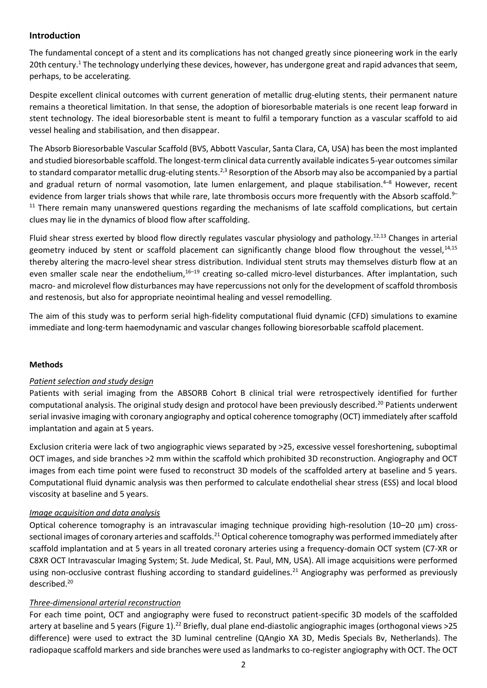# **Introduction**

The fundamental concept of a stent and its complications has not changed greatly since pioneering work in the early 20th century.<sup>1</sup> The technology underlying these devices, however, has undergone great and rapid advances that seem, perhaps, to be accelerating.

Despite excellent clinical outcomes with current generation of metallic drug-eluting stents, their permanent nature remains a theoretical limitation. In that sense, the adoption of bioresorbable materials is one recent leap forward in stent technology. The ideal bioresorbable stent is meant to fulfil a temporary function as a vascular scaffold to aid vessel healing and stabilisation, and then disappear.

The Absorb Bioresorbable Vascular Scaffold (BVS, Abbott Vascular, Santa Clara, CA, USA) has been the most implanted and studied bioresorbable scaffold. The longest-term clinical data currently available indicates 5-year outcomes similar to standard comparator metallic drug-eluting stents.<sup>2,3</sup> Resorption of the Absorb may also be accompanied by a partial and gradual return of normal vasomotion, late lumen enlargement, and plaque stabilisation.<sup>4–8</sup> However, recent evidence from larger trials shows that while rare, late thrombosis occurs more frequently with the Absorb scaffold.<sup>9-</sup>  $11$  There remain many unanswered questions regarding the mechanisms of late scaffold complications, but certain clues may lie in the dynamics of blood flow after scaffolding.

Fluid shear stress exerted by blood flow directly regulates vascular physiology and pathology.12,13 Changes in arterial geometry induced by stent or scaffold placement can significantly change blood flow throughout the vessel,  $14,15$ thereby altering the macro-level shear stress distribution. Individual stent struts may themselves disturb flow at an even smaller scale near the endothelium,<sup>16–19</sup> creating so-called micro-level disturbances. After implantation, such macro- and microlevel flow disturbances may have repercussions not only for the development of scaffold thrombosis and restenosis, but also for appropriate neointimal healing and vessel remodelling.

The aim of this study was to perform serial high-fidelity computational fluid dynamic (CFD) simulations to examine immediate and long-term haemodynamic and vascular changes following bioresorbable scaffold placement.

# **Methods**

# *Patient selection and study design*

Patients with serial imaging from the ABSORB Cohort B clinical trial were retrospectively identified for further computational analysis. The original study design and protocol have been previously described.<sup>20</sup> Patients underwent serial invasive imaging with coronary angiography and optical coherence tomography (OCT) immediately after scaffold implantation and again at 5 years.

Exclusion criteria were lack of two angiographic views separated by >25, excessive vessel foreshortening, suboptimal OCT images, and side branches >2 mm within the scaffold which prohibited 3D reconstruction. Angiography and OCT images from each time point were fused to reconstruct 3D models of the scaffolded artery at baseline and 5 years. Computational fluid dynamic analysis was then performed to calculate endothelial shear stress (ESS) and local blood viscosity at baseline and 5 years.

#### *Image acquisition and data analysis*

Optical coherence tomography is an intravascular imaging technique providing high-resolution (10–20 m) crosssectional images of coronary arteries and scaffolds.<sup>21</sup> Optical coherence tomography was performed immediately after scaffold implantation and at 5 years in all treated coronary arteries using a frequency-domain OCT system (C7-XR or C8XR OCT Intravascular Imaging System; St. Jude Medical, St. Paul, MN, USA). All image acquisitions were performed using non-occlusive contrast flushing according to standard guidelines.<sup>21</sup> Angiography was performed as previously described.<sup>20</sup>

#### *Three-dimensional arterial reconstruction*

For each time point, OCT and angiography were fused to reconstruct patient-specific 3D models of the scaffolded artery at baseline and 5 years (Figure 1).<sup>22</sup> Briefly, dual plane end-diastolic angiographic images (orthogonal views >25 difference) were used to extract the 3D luminal centreline (QAngio XA 3D, Medis Specials Bv, Netherlands). The radiopaque scaffold markers and side branches were used as landmarks to co-register angiography with OCT. The OCT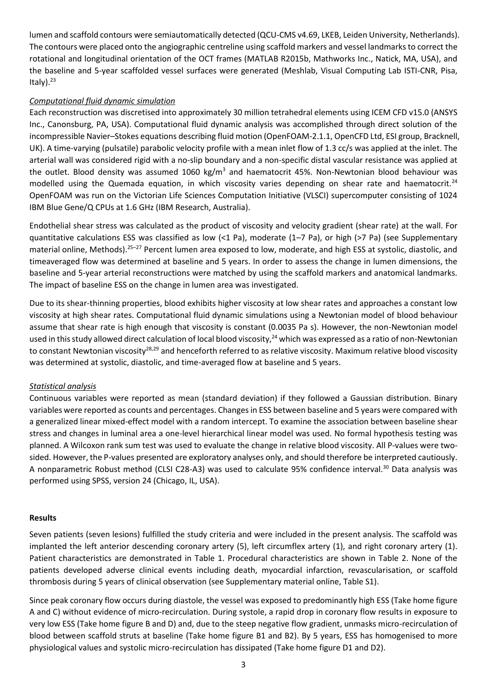lumen and scaffold contours were semiautomatically detected (QCU-CMS v4.69, LKEB, Leiden University, Netherlands). The contours were placed onto the angiographic centreline using scaffold markers and vessel landmarks to correct the rotational and longitudinal orientation of the OCT frames (MATLAB R2015b, Mathworks Inc., Natick, MA, USA), and the baseline and 5-year scaffolded vessel surfaces were generated (Meshlab, Visual Computing Lab ISTI-CNR, Pisa, Italy $).<sup>23</sup>$ 

# *Computational fluid dynamic simulation*

Each reconstruction was discretised into approximately 30 million tetrahedral elements using ICEM CFD v15.0 (ANSYS Inc., Canonsburg, PA, USA). Computational fluid dynamic analysis was accomplished through direct solution of the incompressible Navier–Stokes equations describing fluid motion (OpenFOAM-2.1.1, OpenCFD Ltd, ESI group, Bracknell, UK). A time-varying (pulsatile) parabolic velocity profile with a mean inlet flow of 1.3 cc/s was applied at the inlet. The arterial wall was considered rigid with a no-slip boundary and a non-specific distal vascular resistance was applied at the outlet. Blood density was assumed 1060 kg/m<sup>3</sup> and haematocrit 45%. Non-Newtonian blood behaviour was modelled using the Quemada equation, in which viscosity varies depending on shear rate and haematocrit.<sup>24</sup> OpenFOAM was run on the Victorian Life Sciences Computation Initiative (VLSCI) supercomputer consisting of 1024 IBM Blue Gene/Q CPUs at 1.6 GHz (IBM Research, Australia).

Endothelial shear stress was calculated as the product of viscosity and velocity gradient (shear rate) at the wall. For quantitative calculations ESS was classified as low (<1 Pa), moderate (1–7 Pa), or high (>7 Pa) (see Supplementary material online, Methods).<sup>25</sup>–<sup>27</sup> Percent lumen area exposed to low, moderate, and high ESS at systolic, diastolic, and timeaveraged flow was determined at baseline and 5 years. In order to assess the change in lumen dimensions, the baseline and 5-year arterial reconstructions were matched by using the scaffold markers and anatomical landmarks. The impact of baseline ESS on the change in lumen area was investigated.

Due to its shear-thinning properties, blood exhibits higher viscosity at low shear rates and approaches a constant low viscosity at high shear rates. Computational fluid dynamic simulations using a Newtonian model of blood behaviour assume that shear rate is high enough that viscosity is constant (0.0035 Pa s). However, the non-Newtonian model used in this study allowed direct calculation of local blood viscosity,<sup>24</sup> which was expressed as a ratio of non-Newtonian to constant Newtonian viscosity<sup>28,29</sup> and henceforth referred to as relative viscosity. Maximum relative blood viscosity was determined at systolic, diastolic, and time-averaged flow at baseline and 5 years.

# *Statistical analysis*

Continuous variables were reported as mean (standard deviation) if they followed a Gaussian distribution. Binary variables were reported as counts and percentages. Changes in ESS between baseline and 5 years were compared with a generalized linear mixed-effect model with a random intercept. To examine the association between baseline shear stress and changes in luminal area a one-level hierarchical linear model was used. No formal hypothesis testing was planned. A Wilcoxon rank sum test was used to evaluate the change in relative blood viscosity. All P-values were twosided. However, the P-values presented are exploratory analyses only, and should therefore be interpreted cautiously. A nonparametric Robust method (CLSI C28-A3) was used to calculate 95% confidence interval.<sup>30</sup> Data analysis was performed using SPSS, version 24 (Chicago, IL, USA).

# **Results**

Seven patients (seven lesions) fulfilled the study criteria and were included in the present analysis. The scaffold was implanted the left anterior descending coronary artery (5), left circumflex artery (1), and right coronary artery (1). Patient characteristics are demonstrated in Table 1. Procedural characteristics are shown in Table 2. None of the patients developed adverse clinical events including death, myocardial infarction, revascularisation, or scaffold thrombosis during 5 years of clinical observation (see Supplementary material online, Table S1).

Since peak coronary flow occurs during diastole, the vessel was exposed to predominantly high ESS (Take home figure A and C) without evidence of micro-recirculation. During systole, a rapid drop in coronary flow results in exposure to very low ESS (Take home figure B and D) and, due to the steep negative flow gradient, unmasks micro-recirculation of blood between scaffold struts at baseline (Take home figure B1 and B2). By 5 years, ESS has homogenised to more physiological values and systolic micro-recirculation has dissipated (Take home figure D1 and D2).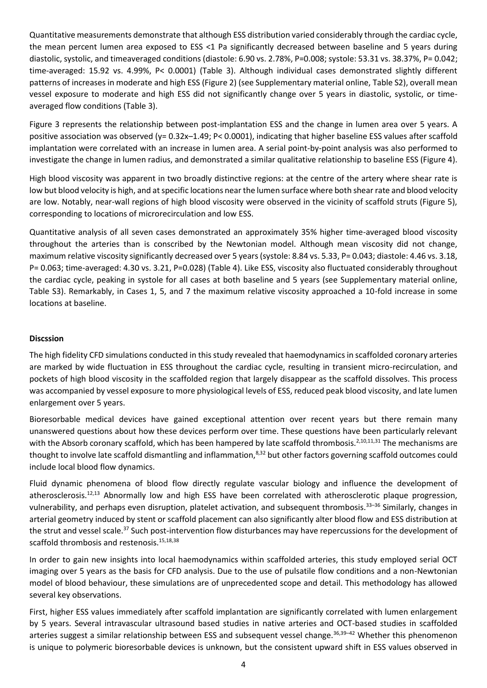Quantitative measurements demonstrate that although ESS distribution varied considerably through the cardiac cycle, the mean percent lumen area exposed to ESS <1 Pa significantly decreased between baseline and 5 years during diastolic, systolic, and timeaveraged conditions (diastole: 6.90 vs. 2.78%, P=0.008; systole: 53.31 vs. 38.37%, P= 0.042; time-averaged: 15.92 vs. 4.99%, P< 0.0001) (Table 3). Although individual cases demonstrated slightly different patterns of increases in moderate and high ESS (Figure 2) (see Supplementary material online, Table S2), overall mean vessel exposure to moderate and high ESS did not significantly change over 5 years in diastolic, systolic, or timeaveraged flow conditions (Table 3).

Figure 3 represents the relationship between post-implantation ESS and the change in lumen area over 5 years. A positive association was observed (y=  $0.32x-1.49$ ; P< 0.0001), indicating that higher baseline ESS values after scaffold implantation were correlated with an increase in lumen area. A serial point-by-point analysis was also performed to investigate the change in lumen radius, and demonstrated a similar qualitative relationship to baseline ESS (Figure 4).

High blood viscosity was apparent in two broadly distinctive regions: at the centre of the artery where shear rate is low but blood velocity is high, and at specific locations near the lumen surface where both shear rate and blood velocity are low. Notably, near-wall regions of high blood viscosity were observed in the vicinity of scaffold struts (Figure 5), corresponding to locations of microrecirculation and low ESS.

Quantitative analysis of all seven cases demonstrated an approximately 35% higher time-averaged blood viscosity throughout the arteries than is conscribed by the Newtonian model. Although mean viscosity did not change, maximum relative viscosity significantly decreased over 5 years (systole: 8.84 vs. 5.33, P= 0.043; diastole: 4.46 vs. 3.18, P= 0.063; time-averaged: 4.30 vs. 3.21, P=0.028) (Table 4). Like ESS, viscosity also fluctuated considerably throughout the cardiac cycle, peaking in systole for all cases at both baseline and 5 years (see Supplementary material online, Table S3). Remarkably, in Cases 1, 5, and 7 the maximum relative viscosity approached a 10-fold increase in some locations at baseline.

### **Discssion**

The high fidelity CFD simulations conducted in this study revealed that haemodynamics in scaffolded coronary arteries are marked by wide fluctuation in ESS throughout the cardiac cycle, resulting in transient micro-recirculation, and pockets of high blood viscosity in the scaffolded region that largely disappear as the scaffold dissolves. This process was accompanied by vessel exposure to more physiological levels of ESS, reduced peak blood viscosity, and late lumen enlargement over 5 years.

Bioresorbable medical devices have gained exceptional attention over recent years but there remain many unanswered questions about how these devices perform over time. These questions have been particularly relevant with the Absorb coronary scaffold, which has been hampered by late scaffold thrombosis.<sup>2,10,11,31</sup> The mechanisms are thought to involve late scaffold dismantling and inflammation, $8,32$  but other factors governing scaffold outcomes could include local blood flow dynamics.

Fluid dynamic phenomena of blood flow directly regulate vascular biology and influence the development of atherosclerosis. $12,13$  Abnormally low and high ESS have been correlated with atherosclerotic plaque progression, vulnerability, and perhaps even disruption, platelet activation, and subsequent thrombosis.<sup>33–36</sup> Similarly, changes in arterial geometry induced by stent or scaffold placement can also significantly alter blood flow and ESS distribution at the strut and vessel scale.<sup>37</sup> Such post-intervention flow disturbances may have repercussions for the development of scaffold thrombosis and restenosis.<sup>15,18,38</sup>

In order to gain new insights into local haemodynamics within scaffolded arteries, this study employed serial OCT imaging over 5 years as the basis for CFD analysis. Due to the use of pulsatile flow conditions and a non-Newtonian model of blood behaviour, these simulations are of unprecedented scope and detail. This methodology has allowed several key observations.

First, higher ESS values immediately after scaffold implantation are significantly correlated with lumen enlargement by 5 years. Several intravascular ultrasound based studies in native arteries and OCT-based studies in scaffolded arteries suggest a similar relationship between ESS and subsequent vessel change.<sup>36,39-42</sup> Whether this phenomenon is unique to polymeric bioresorbable devices is unknown, but the consistent upward shift in ESS values observed in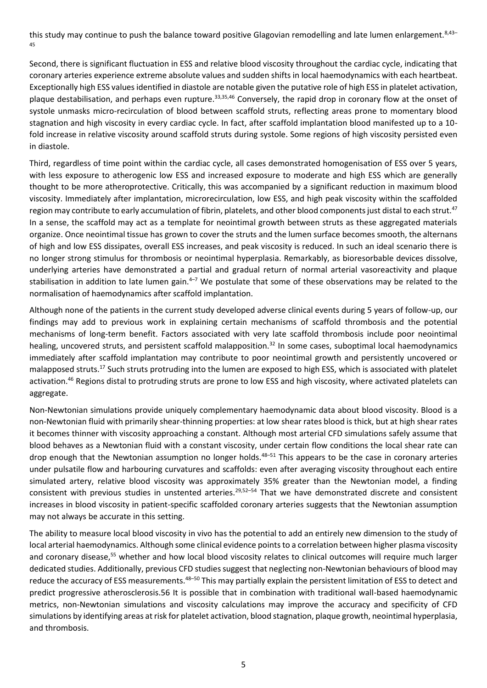this study may continue to push the balance toward positive Glagovian remodelling and late lumen enlargement.<sup>8,43-</sup> 45

Second, there is significant fluctuation in ESS and relative blood viscosity throughout the cardiac cycle, indicating that coronary arteries experience extreme absolute values and sudden shifts in local haemodynamics with each heartbeat. Exceptionally high ESS values identified in diastole are notable given the putative role of high ESS in platelet activation, plaque destabilisation, and perhaps even rupture.<sup>33,35,46</sup> Conversely, the rapid drop in coronary flow at the onset of systole unmasks micro-recirculation of blood between scaffold struts, reflecting areas prone to momentary blood stagnation and high viscosity in every cardiac cycle. In fact, after scaffold implantation blood manifested up to a 10 fold increase in relative viscosity around scaffold struts during systole. Some regions of high viscosity persisted even in diastole.

Third, regardless of time point within the cardiac cycle, all cases demonstrated homogenisation of ESS over 5 years, with less exposure to atherogenic low ESS and increased exposure to moderate and high ESS which are generally thought to be more atheroprotective. Critically, this was accompanied by a significant reduction in maximum blood viscosity. Immediately after implantation, microrecirculation, low ESS, and high peak viscosity within the scaffolded region may contribute to early accumulation of fibrin, platelets, and other blood components just distal to each strut.<sup>47</sup> In a sense, the scaffold may act as a template for neointimal growth between struts as these aggregated materials organize. Once neointimal tissue has grown to cover the struts and the lumen surface becomes smooth, the alternans of high and low ESS dissipates, overall ESS increases, and peak viscosity is reduced. In such an ideal scenario there is no longer strong stimulus for thrombosis or neointimal hyperplasia. Remarkably, as bioresorbable devices dissolve, underlying arteries have demonstrated a partial and gradual return of normal arterial vasoreactivity and plaque stabilisation in addition to late lumen gain. $4-7$  We postulate that some of these observations may be related to the normalisation of haemodynamics after scaffold implantation.

Although none of the patients in the current study developed adverse clinical events during 5 years of follow-up, our findings may add to previous work in explaining certain mechanisms of scaffold thrombosis and the potential mechanisms of long-term benefit. Factors associated with very late scaffold thrombosis include poor neointimal healing, uncovered struts, and persistent scaffold malapposition.<sup>32</sup> In some cases, suboptimal local haemodynamics immediately after scaffold implantation may contribute to poor neointimal growth and persistently uncovered or malapposed struts.<sup>17</sup> Such struts protruding into the lumen are exposed to high ESS, which is associated with platelet activation.<sup>46</sup> Regions distal to protruding struts are prone to low ESS and high viscosity, where activated platelets can aggregate.

Non-Newtonian simulations provide uniquely complementary haemodynamic data about blood viscosity. Blood is a non-Newtonian fluid with primarily shear-thinning properties: at low shear rates blood is thick, but at high shear rates it becomes thinner with viscosity approaching a constant. Although most arterial CFD simulations safely assume that blood behaves as a Newtonian fluid with a constant viscosity, under certain flow conditions the local shear rate can drop enough that the Newtonian assumption no longer holds.<sup>48–51</sup> This appears to be the case in coronary arteries under pulsatile flow and harbouring curvatures and scaffolds: even after averaging viscosity throughout each entire simulated artery, relative blood viscosity was approximately 35% greater than the Newtonian model, a finding consistent with previous studies in unstented arteries.<sup>29,52–54</sup> That we have demonstrated discrete and consistent increases in blood viscosity in patient-specific scaffolded coronary arteries suggests that the Newtonian assumption may not always be accurate in this setting.

The ability to measure local blood viscosity in vivo has the potential to add an entirely new dimension to the study of local arterial haemodynamics. Although some clinical evidence points to a correlation between higher plasma viscosity and coronary disease,<sup>55</sup> whether and how local blood viscosity relates to clinical outcomes will require much larger dedicated studies. Additionally, previous CFD studies suggest that neglecting non-Newtonian behaviours of blood may reduce the accuracy of ESS measurements.<sup>48–50</sup> This may partially explain the persistent limitation of ESS to detect and predict progressive atherosclerosis.56 It is possible that in combination with traditional wall-based haemodynamic metrics, non-Newtonian simulations and viscosity calculations may improve the accuracy and specificity of CFD simulations by identifying areas at risk for platelet activation, blood stagnation, plaque growth, neointimal hyperplasia, and thrombosis.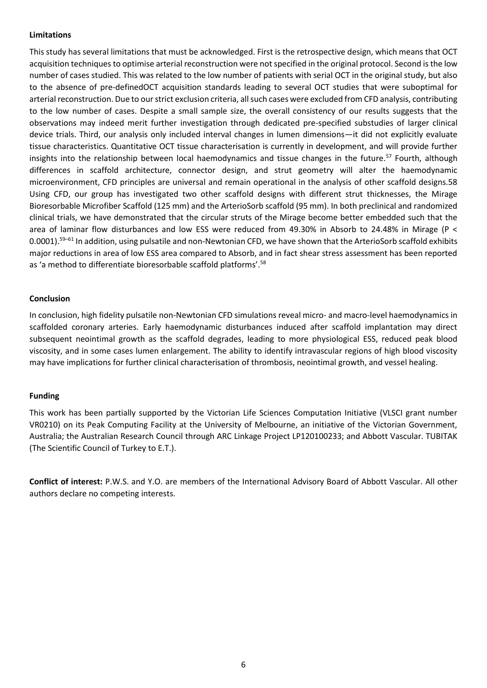#### **Limitations**

This study has several limitations that must be acknowledged. First is the retrospective design, which means that OCT acquisition techniques to optimise arterial reconstruction were not specified in the original protocol. Second is the low number of cases studied. This was related to the low number of patients with serial OCT in the original study, but also to the absence of pre-definedOCT acquisition standards leading to several OCT studies that were suboptimal for arterial reconstruction. Due to our strict exclusion criteria, all such cases were excluded from CFD analysis, contributing to the low number of cases. Despite a small sample size, the overall consistency of our results suggests that the observations may indeed merit further investigation through dedicated pre-specified substudies of larger clinical device trials. Third, our analysis only included interval changes in lumen dimensions—it did not explicitly evaluate tissue characteristics. Quantitative OCT tissue characterisation is currently in development, and will provide further insights into the relationship between local haemodynamics and tissue changes in the future.<sup>57</sup> Fourth, although differences in scaffold architecture, connector design, and strut geometry will alter the haemodynamic microenvironment, CFD principles are universal and remain operational in the analysis of other scaffold designs.58 Using CFD, our group has investigated two other scaffold designs with different strut thicknesses, the Mirage Bioresorbable Microfiber Scaffold (125 mm) and the ArterioSorb scaffold (95 mm). In both preclinical and randomized clinical trials, we have demonstrated that the circular struts of the Mirage become better embedded such that the area of laminar flow disturbances and low ESS were reduced from 49.30% in Absorb to 24.48% in Mirage (P < 0.0001).<sup>59–61</sup> In addition, using pulsatile and non-Newtonian CFD, we have shown that the ArterioSorb scaffold exhibits major reductions in area of low ESS area compared to Absorb, and in fact shear stress assessment has been reported as 'a method to differentiate bioresorbable scaffold platforms'.<sup>58</sup>

#### **Conclusion**

In conclusion, high fidelity pulsatile non-Newtonian CFD simulations reveal micro- and macro-level haemodynamics in scaffolded coronary arteries. Early haemodynamic disturbances induced after scaffold implantation may direct subsequent neointimal growth as the scaffold degrades, leading to more physiological ESS, reduced peak blood viscosity, and in some cases lumen enlargement. The ability to identify intravascular regions of high blood viscosity may have implications for further clinical characterisation of thrombosis, neointimal growth, and vessel healing.

#### **Funding**

This work has been partially supported by the Victorian Life Sciences Computation Initiative (VLSCI grant number VR0210) on its Peak Computing Facility at the University of Melbourne, an initiative of the Victorian Government, Australia; the Australian Research Council through ARC Linkage Project LP120100233; and Abbott Vascular. TUBITAK (The Scientific Council of Turkey to E.T.).

**Conflict of interest:** P.W.S. and Y.O. are members of the International Advisory Board of Abbott Vascular. All other authors declare no competing interests.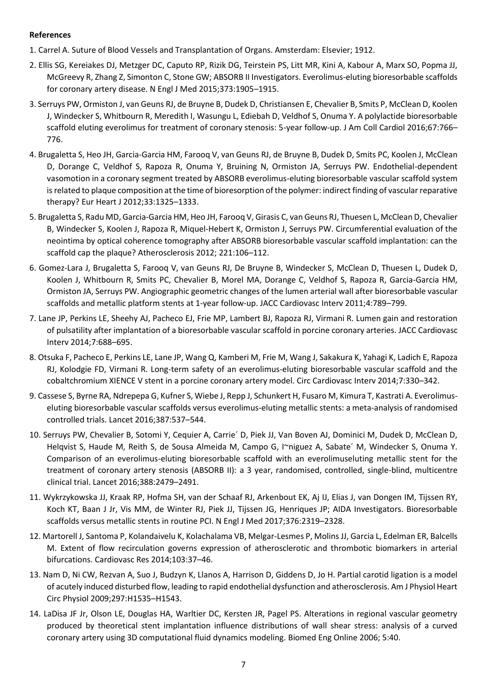### **References**

- 1. Carrel A. Suture of Blood Vessels and Transplantation of Organs. Amsterdam: Elsevier; 1912.
- 2. Ellis SG, Kereiakes DJ, Metzger DC, Caputo RP, Rizik DG, Teirstein PS, Litt MR, Kini A, Kabour A, Marx SO, Popma JJ, McGreevy R, Zhang Z, Simonton C, Stone GW; ABSORB II Investigators. Everolimus-eluting bioresorbable scaffolds for coronary artery disease. N Engl J Med 2015;373:1905–1915.
- 3. Serruys PW, Ormiston J, van Geuns RJ, de Bruyne B, Dudek D, Christiansen E, Chevalier B, Smits P, McClean D, Koolen J, Windecker S, Whitbourn R, Meredith I, Wasungu L, Ediebah D, Veldhof S, Onuma Y. A polylactide bioresorbable scaffold eluting everolimus for treatment of coronary stenosis: 5-year follow-up. J Am Coll Cardiol 2016;67:766– 776.
- 4. Brugaletta S, Heo JH, Garcia-Garcia HM, Farooq V, van Geuns RJ, de Bruyne B, Dudek D, Smits PC, Koolen J, McClean D, Dorange C, Veldhof S, Rapoza R, Onuma Y, Bruining N, Ormiston JA, Serruys PW. Endothelial-dependent vasomotion in a coronary segment treated by ABSORB everolimus-eluting bioresorbable vascular scaffold system is related to plaque composition at the time of bioresorption of the polymer: indirect finding of vascular reparative therapy? Eur Heart J 2012;33:1325–1333.
- 5. Brugaletta S, Radu MD, Garcia-Garcia HM, Heo JH, Farooq V, Girasis C, van Geuns RJ, Thuesen L, McClean D, Chevalier B, Windecker S, Koolen J, Rapoza R, Miquel-Hebert K, Ormiston J, Serruys PW. Circumferential evaluation of the neointima by optical coherence tomography after ABSORB bioresorbable vascular scaffold implantation: can the scaffold cap the plaque? Atherosclerosis 2012; 221:106–112.
- 6. Gomez-Lara J, Brugaletta S, Farooq V, van Geuns RJ, De Bruyne B, Windecker S, McClean D, Thuesen L, Dudek D, Koolen J, Whitbourn R, Smits PC, Chevalier B, Morel MA, Dorange C, Veldhof S, Rapoza R, Garcia-Garcia HM, Ormiston JA, Serruys PW. Angiographic geometric changes of the lumen arterial wall after bioresorbable vascular scaffolds and metallic platform stents at 1-year follow-up. JACC Cardiovasc Interv 2011;4:789–799.
- 7. Lane JP, Perkins LE, Sheehy AJ, Pacheco EJ, Frie MP, Lambert BJ, Rapoza RJ, Virmani R. Lumen gain and restoration of pulsatility after implantation of a bioresorbable vascular scaffold in porcine coronary arteries. JACC Cardiovasc Interv 2014;7:688–695.
- 8. Otsuka F, Pacheco E, Perkins LE, Lane JP, Wang Q, Kamberi M, Frie M, Wang J, Sakakura K, Yahagi K, Ladich E, Rapoza RJ, Kolodgie FD, Virmani R. Long-term safety of an everolimus-eluting bioresorbable vascular scaffold and the cobaltchromium XIENCE V stent in a porcine coronary artery model. Circ Cardiovasc Interv 2014;7:330–342.
- 9. Cassese S, Byrne RA, Ndrepepa G, Kufner S, Wiebe J, Repp J, Schunkert H, Fusaro M, Kimura T, Kastrati A. Everolimuseluting bioresorbable vascular scaffolds versus everolimus-eluting metallic stents: a meta-analysis of randomised controlled trials. Lancet 2016;387:537–544.
- 10. Serruys PW, Chevalier B, Sotomi Y, Cequier A, Carrie´ D, Piek JJ, Van Boven AJ, Dominici M, Dudek D, McClean D, Helqvist S, Haude M, Reith S, de Sousa Almeida M, Campo G, I~niguez A, Sabate´ M, Windecker S, Onuma Y. Comparison of an everolimus-eluting bioresorbable scaffold with an everolimuseluting metallic stent for the treatment of coronary artery stenosis (ABSORB II): a 3 year, randomised, controlled, single-blind, multicentre clinical trial. Lancet 2016;388:2479–2491.
- 11. Wykrzykowska JJ, Kraak RP, Hofma SH, van der Schaaf RJ, Arkenbout EK, Aj IJ, Elias J, van Dongen IM, Tijssen RY, Koch KT, Baan J Jr, Vis MM, de Winter RJ, Piek JJ, Tijssen JG, Henriques JP; AIDA Investigators. Bioresorbable scaffolds versus metallic stents in routine PCI. N Engl J Med 2017;376:2319–2328.
- 12. Martorell J, Santoma P, Kolandaivelu K, Kolachalama VB, Melgar-Lesmes P, Molins JJ, Garcia L, Edelman ER, Balcells M. Extent of flow recirculation governs expression of atherosclerotic and thrombotic biomarkers in arterial bifurcations. Cardiovasc Res 2014;103:37–46.
- 13. Nam D, Ni CW, Rezvan A, Suo J, Budzyn K, Llanos A, Harrison D, Giddens D, Jo H. Partial carotid ligation is a model of acutely induced disturbed flow, leading to rapid endothelial dysfunction and atherosclerosis. Am J Physiol Heart Circ Physiol 2009;297:H1535–H1543.
- 14. LaDisa JF Jr, Olson LE, Douglas HA, Warltier DC, Kersten JR, Pagel PS. Alterations in regional vascular geometry produced by theoretical stent implantation influence distributions of wall shear stress: analysis of a curved coronary artery using 3D computational fluid dynamics modeling. Biomed Eng Online 2006; 5:40.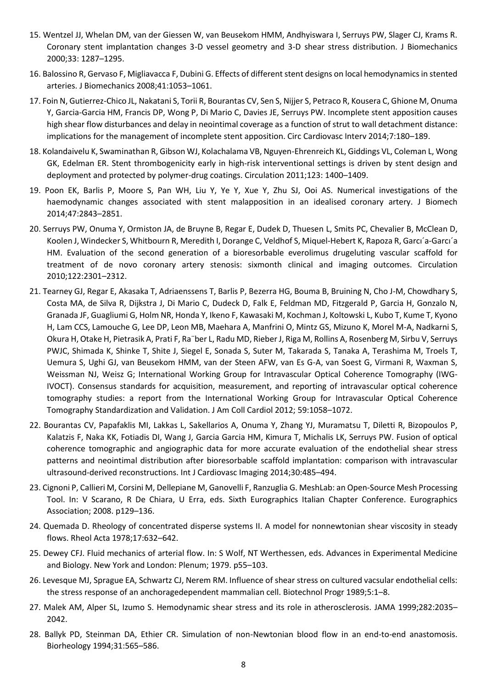- 15. Wentzel JJ, Whelan DM, van der Giessen W, van Beusekom HMM, Andhyiswara I, Serruys PW, Slager CJ, Krams R. Coronary stent implantation changes 3-D vessel geometry and 3-D shear stress distribution. J Biomechanics 2000;33: 1287–1295.
- 16. Balossino R, Gervaso F, Migliavacca F, Dubini G. Effects of different stent designs on local hemodynamics in stented arteries. J Biomechanics 2008;41:1053–1061.
- 17. Foin N, Gutierrez-Chico JL, Nakatani S, Torii R, Bourantas CV, Sen S, Nijjer S, Petraco R, Kousera C, Ghione M, Onuma Y, Garcia-Garcia HM, Francis DP, Wong P, Di Mario C, Davies JE, Serruys PW. Incomplete stent apposition causes high shear flow disturbances and delay in neointimal coverage as a function of strut to wall detachment distance: implications for the management of incomplete stent apposition. Circ Cardiovasc Interv 2014;7:180–189.
- 18. Kolandaivelu K, Swaminathan R, Gibson WJ, Kolachalama VB, Nguyen-Ehrenreich KL, Giddings VL, Coleman L, Wong GK, Edelman ER. Stent thrombogenicity early in high-risk interventional settings is driven by stent design and deployment and protected by polymer-drug coatings. Circulation 2011;123: 1400–1409.
- 19. Poon EK, Barlis P, Moore S, Pan WH, Liu Y, Ye Y, Xue Y, Zhu SJ, Ooi AS. Numerical investigations of the haemodynamic changes associated with stent malapposition in an idealised coronary artery. J Biomech 2014;47:2843–2851.
- 20. Serruys PW, Onuma Y, Ormiston JA, de Bruyne B, Regar E, Dudek D, Thuesen L, Smits PC, Chevalier B, McClean D, Koolen J, Windecker S, Whitbourn R, Meredith I, Dorange C, Veldhof S, Miquel-Hebert K, Rapoza R, Garcı´a-Garcı´a HM. Evaluation of the second generation of a bioresorbable everolimus drugeluting vascular scaffold for treatment of de novo coronary artery stenosis: sixmonth clinical and imaging outcomes. Circulation 2010;122:2301–2312.
- 21. Tearney GJ, Regar E, Akasaka T, Adriaenssens T, Barlis P, Bezerra HG, Bouma B, Bruining N, Cho J-M, Chowdhary S, Costa MA, de Silva R, Dijkstra J, Di Mario C, Dudeck D, Falk E, Feldman MD, Fitzgerald P, Garcia H, Gonzalo N, Granada JF, Guagliumi G, Holm NR, Honda Y, Ikeno F, Kawasaki M, Kochman J, Koltowski L, Kubo T, Kume T, Kyono H, Lam CCS, Lamouche G, Lee DP, Leon MB, Maehara A, Manfrini O, Mintz GS, Mizuno K, Morel M-A, Nadkarni S, Okura H, Otake H, Pietrasik A, Prati F, Ra¨ber L, Radu MD, Rieber J, Riga M, Rollins A, Rosenberg M, Sirbu V, Serruys PWJC, Shimada K, Shinke T, Shite J, Siegel E, Sonada S, Suter M, Takarada S, Tanaka A, Terashima M, Troels T, Uemura S, Ughi GJ, van Beusekom HMM, van der Steen AFW, van Es G-A, van Soest G, Virmani R, Waxman S, Weissman NJ, Weisz G; International Working Group for Intravascular Optical Coherence Tomography (IWG-IVOCT). Consensus standards for acquisition, measurement, and reporting of intravascular optical coherence tomography studies: a report from the International Working Group for Intravascular Optical Coherence Tomography Standardization and Validation. J Am Coll Cardiol 2012; 59:1058–1072.
- 22. Bourantas CV, Papafaklis MI, Lakkas L, Sakellarios A, Onuma Y, Zhang YJ, Muramatsu T, Diletti R, Bizopoulos P, Kalatzis F, Naka KK, Fotiadis DI, Wang J, Garcia Garcia HM, Kimura T, Michalis LK, Serruys PW. Fusion of optical coherence tomographic and angiographic data for more accurate evaluation of the endothelial shear stress patterns and neointimal distribution after bioresorbable scaffold implantation: comparison with intravascular ultrasound-derived reconstructions. Int J Cardiovasc Imaging 2014;30:485–494.
- 23. Cignoni P, Callieri M, Corsini M, Dellepiane M, Ganovelli F, Ranzuglia G. MeshLab: an Open-Source Mesh Processing Tool. In: V Scarano, R De Chiara, U Erra, eds. Sixth Eurographics Italian Chapter Conference. Eurographics Association; 2008. p129–136.
- 24. Quemada D. Rheology of concentrated disperse systems II. A model for nonnewtonian shear viscosity in steady flows. Rheol Acta 1978;17:632–642.
- 25. Dewey CFJ. Fluid mechanics of arterial flow. In: S Wolf, NT Werthessen, eds. Advances in Experimental Medicine and Biology. New York and London: Plenum; 1979. p55–103.
- 26. Levesque MJ, Sprague EA, Schwartz CJ, Nerem RM. Influence of shear stress on cultured vacsular endothelial cells: the stress response of an anchoragedependent mammalian cell. Biotechnol Progr 1989;5:1–8.
- 27. Malek AM, Alper SL, Izumo S. Hemodynamic shear stress and its role in atherosclerosis. JAMA 1999;282:2035– 2042.
- 28. Ballyk PD, Steinman DA, Ethier CR. Simulation of non-Newtonian blood flow in an end-to-end anastomosis. Biorheology 1994;31:565–586.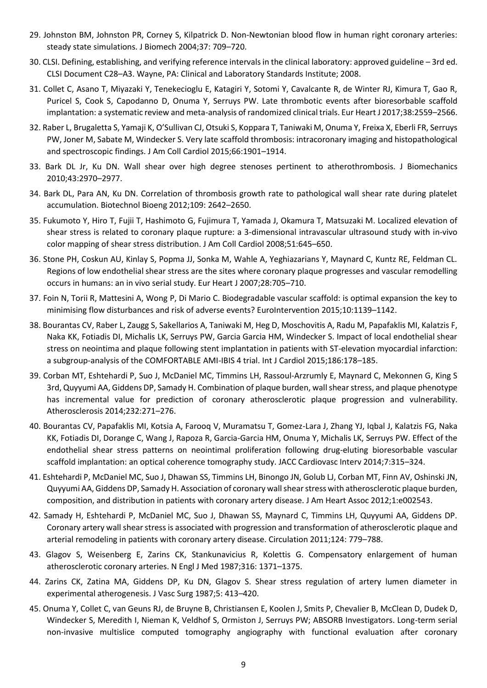- 29. Johnston BM, Johnston PR, Corney S, Kilpatrick D. Non-Newtonian blood flow in human right coronary arteries: steady state simulations. J Biomech 2004;37: 709–720.
- 30. CLSI. Defining, establishing, and verifying reference intervals in the clinical laboratory: approved guideline 3rd ed. CLSI Document C28–A3. Wayne, PA: Clinical and Laboratory Standards Institute; 2008.
- 31. Collet C, Asano T, Miyazaki Y, Tenekecioglu E, Katagiri Y, Sotomi Y, Cavalcante R, de Winter RJ, Kimura T, Gao R, Puricel S, Cook S, Capodanno D, Onuma Y, Serruys PW. Late thrombotic events after bioresorbable scaffold implantation: a systematic review and meta-analysis of randomized clinical trials. Eur Heart J 2017;38:2559–2566.
- 32. Raber L, Brugaletta S, Yamaji K, O'Sullivan CJ, Otsuki S, Koppara T, Taniwaki M, Onuma Y, Freixa X, Eberli FR, Serruys PW, Joner M, Sabate M, Windecker S. Very late scaffold thrombosis: intracoronary imaging and histopathological and spectroscopic findings. J Am Coll Cardiol 2015;66:1901–1914.
- 33. Bark DL Jr, Ku DN. Wall shear over high degree stenoses pertinent to atherothrombosis. J Biomechanics 2010;43:2970–2977.
- 34. Bark DL, Para AN, Ku DN. Correlation of thrombosis growth rate to pathological wall shear rate during platelet accumulation. Biotechnol Bioeng 2012;109: 2642–2650.
- 35. Fukumoto Y, Hiro T, Fujii T, Hashimoto G, Fujimura T, Yamada J, Okamura T, Matsuzaki M. Localized elevation of shear stress is related to coronary plaque rupture: a 3-dimensional intravascular ultrasound study with in-vivo color mapping of shear stress distribution. J Am Coll Cardiol 2008;51:645–650.
- 36. Stone PH, Coskun AU, Kinlay S, Popma JJ, Sonka M, Wahle A, Yeghiazarians Y, Maynard C, Kuntz RE, Feldman CL. Regions of low endothelial shear stress are the sites where coronary plaque progresses and vascular remodelling occurs in humans: an in vivo serial study. Eur Heart J 2007;28:705–710.
- 37. Foin N, Torii R, Mattesini A, Wong P, Di Mario C. Biodegradable vascular scaffold: is optimal expansion the key to minimising flow disturbances and risk of adverse events? EuroIntervention 2015;10:1139-1142.
- 38. Bourantas CV, Raber L, Zaugg S, Sakellarios A, Taniwaki M, Heg D, Moschovitis A, Radu M, Papafaklis MI, Kalatzis F, Naka KK, Fotiadis DI, Michalis LK, Serruys PW, Garcia Garcia HM, Windecker S. Impact of local endothelial shear stress on neointima and plaque following stent implantation in patients with ST-elevation myocardial infarction: a subgroup-analysis of the COMFORTABLE AMI-IBIS 4 trial. Int J Cardiol 2015;186:178–185.
- 39. Corban MT, Eshtehardi P, Suo J, McDaniel MC, Timmins LH, Rassoul-Arzrumly E, Maynard C, Mekonnen G, King S 3rd, Quyyumi AA, Giddens DP, Samady H. Combination of plaque burden, wall shear stress, and plaque phenotype has incremental value for prediction of coronary atherosclerotic plaque progression and vulnerability. Atherosclerosis 2014;232:271–276.
- 40. Bourantas CV, Papafaklis MI, Kotsia A, Farooq V, Muramatsu T, Gomez-Lara J, Zhang YJ, Iqbal J, Kalatzis FG, Naka KK, Fotiadis DI, Dorange C, Wang J, Rapoza R, Garcia-Garcia HM, Onuma Y, Michalis LK, Serruys PW. Effect of the endothelial shear stress patterns on neointimal proliferation following drug-eluting bioresorbable vascular scaffold implantation: an optical coherence tomography study. JACC Cardiovasc Interv 2014;7:315–324.
- 41. Eshtehardi P, McDaniel MC, Suo J, Dhawan SS, Timmins LH, Binongo JN, Golub LJ, Corban MT, Finn AV, Oshinski JN, Quyyumi AA, Giddens DP, Samady H. Association of coronary wall shear stress with atherosclerotic plaque burden, composition, and distribution in patients with coronary artery disease. J Am Heart Assoc 2012;1:e002543.
- 42. Samady H, Eshtehardi P, McDaniel MC, Suo J, Dhawan SS, Maynard C, Timmins LH, Quyyumi AA, Giddens DP. Coronary artery wall shear stress is associated with progression and transformation of atherosclerotic plaque and arterial remodeling in patients with coronary artery disease. Circulation 2011;124: 779–788.
- 43. Glagov S, Weisenberg E, Zarins CK, Stankunavicius R, Kolettis G. Compensatory enlargement of human atherosclerotic coronary arteries. N Engl J Med 1987;316: 1371–1375.
- 44. Zarins CK, Zatina MA, Giddens DP, Ku DN, Glagov S. Shear stress regulation of artery lumen diameter in experimental atherogenesis. J Vasc Surg 1987;5: 413–420.
- 45. Onuma Y, Collet C, van Geuns RJ, de Bruyne B, Christiansen E, Koolen J, Smits P, Chevalier B, McClean D, Dudek D, Windecker S, Meredith I, Nieman K, Veldhof S, Ormiston J, Serruys PW; ABSORB Investigators. Long-term serial non-invasive multislice computed tomography angiography with functional evaluation after coronary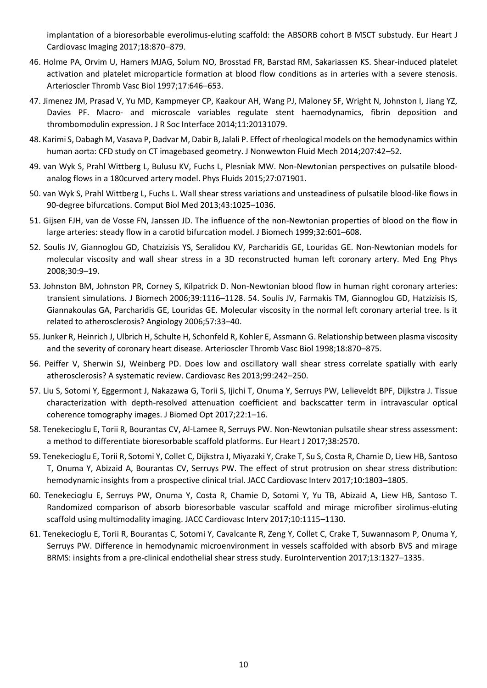implantation of a bioresorbable everolimus-eluting scaffold: the ABSORB cohort B MSCT substudy. Eur Heart J Cardiovasc Imaging 2017;18:870–879.

- 46. Holme PA, Orvim U, Hamers MJAG, Solum NO, Brosstad FR, Barstad RM, Sakariassen KS. Shear-induced platelet activation and platelet microparticle formation at blood flow conditions as in arteries with a severe stenosis. Arterioscler Thromb Vasc Biol 1997;17:646–653.
- 47. Jimenez JM, Prasad V, Yu MD, Kampmeyer CP, Kaakour AH, Wang PJ, Maloney SF, Wright N, Johnston I, Jiang YZ, Davies PF. Macro- and microscale variables regulate stent haemodynamics, fibrin deposition and thrombomodulin expression. J R Soc Interface 2014;11:20131079.
- 48. Karimi S, Dabagh M, Vasava P, Dadvar M, Dabir B, Jalali P. Effect of rheological models on the hemodynamics within human aorta: CFD study on CT imagebased geometry. J Nonwewton Fluid Mech 2014;207:42–52.
- 49. van Wyk S, Prahl Wittberg L, Bulusu KV, Fuchs L, Plesniak MW. Non-Newtonian perspectives on pulsatile bloodanalog flows in a 180curved artery model. Phys Fluids 2015;27:071901.
- 50. van Wyk S, Prahl Wittberg L, Fuchs L. Wall shear stress variations and unsteadiness of pulsatile blood-like flows in 90-degree bifurcations. Comput Biol Med 2013;43:1025–1036.
- 51. Gijsen FJH, van de Vosse FN, Janssen JD. The influence of the non-Newtonian properties of blood on the flow in large arteries: steady flow in a carotid bifurcation model. J Biomech 1999;32:601–608.
- 52. Soulis JV, Giannoglou GD, Chatzizisis YS, Seralidou KV, Parcharidis GE, Louridas GE. Non-Newtonian models for molecular viscosity and wall shear stress in a 3D reconstructed human left coronary artery. Med Eng Phys 2008;30:9–19.
- 53. Johnston BM, Johnston PR, Corney S, Kilpatrick D. Non-Newtonian blood flow in human right coronary arteries: transient simulations. J Biomech 2006;39:1116–1128. 54. Soulis JV, Farmakis TM, Giannoglou GD, Hatzizisis IS, Giannakoulas GA, Parcharidis GE, Louridas GE. Molecular viscosity in the normal left coronary arterial tree. Is it related to atherosclerosis? Angiology 2006;57:33–40.
- 55. Junker R, Heinrich J, Ulbrich H, Schulte H, Schonfeld R, Kohler E, Assmann G. Relationship between plasma viscosity and the severity of coronary heart disease. Arterioscler Thromb Vasc Biol 1998;18:870–875.
- 56. Peiffer V, Sherwin SJ, Weinberg PD. Does low and oscillatory wall shear stress correlate spatially with early atherosclerosis? A systematic review. Cardiovasc Res 2013;99:242–250.
- 57. Liu S, Sotomi Y, Eggermont J, Nakazawa G, Torii S, Ijichi T, Onuma Y, Serruys PW, Lelieveldt BPF, Dijkstra J. Tissue characterization with depth-resolved attenuation coefficient and backscatter term in intravascular optical coherence tomography images. J Biomed Opt 2017;22:1–16.
- 58. Tenekecioglu E, Torii R, Bourantas CV, Al-Lamee R, Serruys PW. Non-Newtonian pulsatile shear stress assessment: a method to differentiate bioresorbable scaffold platforms. Eur Heart J 2017;38:2570.
- 59. Tenekecioglu E, Torii R, Sotomi Y, Collet C, Dijkstra J, Miyazaki Y, Crake T, Su S, Costa R, Chamie D, Liew HB, Santoso T, Onuma Y, Abizaid A, Bourantas CV, Serruys PW. The effect of strut protrusion on shear stress distribution: hemodynamic insights from a prospective clinical trial. JACC Cardiovasc Interv 2017;10:1803–1805.
- 60. Tenekecioglu E, Serruys PW, Onuma Y, Costa R, Chamie D, Sotomi Y, Yu TB, Abizaid A, Liew HB, Santoso T. Randomized comparison of absorb bioresorbable vascular scaffold and mirage microfiber sirolimus-eluting scaffold using multimodality imaging. JACC Cardiovasc Interv 2017;10:1115–1130.
- 61. Tenekecioglu E, Torii R, Bourantas C, Sotomi Y, Cavalcante R, Zeng Y, Collet C, Crake T, Suwannasom P, Onuma Y, Serruys PW. Difference in hemodynamic microenvironment in vessels scaffolded with absorb BVS and mirage BRMS: insights from a pre-clinical endothelial shear stress study. EuroIntervention 2017;13:1327–1335.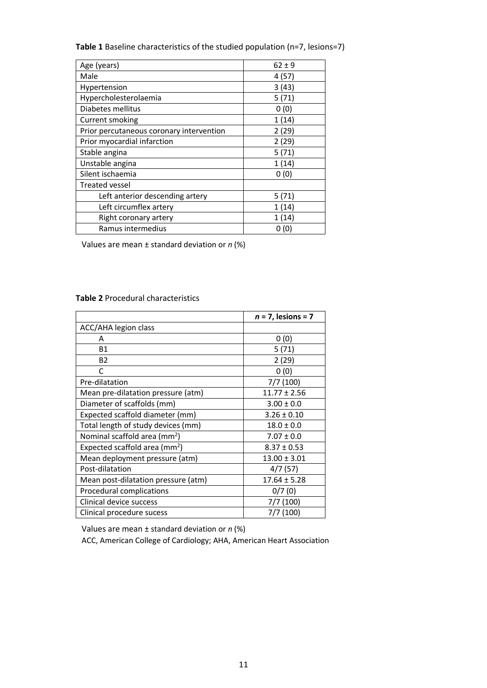**Table 1** Baseline characteristics of the studied population (n=7, lesions=7)

| Age (years)                              | $62 \pm 9$ |  |  |  |  |
|------------------------------------------|------------|--|--|--|--|
| Male                                     | 4 (57)     |  |  |  |  |
| Hypertension                             | 3(43)      |  |  |  |  |
| Hypercholesterolaemia                    | 5(71)      |  |  |  |  |
| Diabetes mellitus                        | 0(0)       |  |  |  |  |
| Current smoking                          | 1(14)      |  |  |  |  |
| Prior percutaneous coronary intervention | 2(29)      |  |  |  |  |
| Prior myocardial infarction              | 2(29)      |  |  |  |  |
| Stable angina                            | 5(71)      |  |  |  |  |
| Unstable angina                          | 1(14)      |  |  |  |  |
| Silent ischaemia                         | 0(0)       |  |  |  |  |
| <b>Treated vessel</b>                    |            |  |  |  |  |
| Left anterior descending artery          | 5 (71)     |  |  |  |  |
| Left circumflex artery                   | 1(14)      |  |  |  |  |
| Right coronary artery                    | 1(14)      |  |  |  |  |
| Ramus intermedius                        | 0(0)       |  |  |  |  |

Values are mean ± standard deviation or *n* (%)

#### **Table 2** Procedural characteristics

|                                          | $n = 7$ , lesions = 7 |
|------------------------------------------|-----------------------|
| ACC/AHA legion class                     |                       |
| А                                        | 0(0)                  |
| <b>B1</b>                                | 5 (71)                |
| <b>B2</b>                                | 2(29)                 |
| C                                        | 0(0)                  |
| Pre-dilatation                           | 7/7(100)              |
| Mean pre-dilatation pressure (atm)       | $11.77 \pm 2.56$      |
| Diameter of scaffolds (mm)               | $3.00 \pm 0.0$        |
| Expected scaffold diameter (mm)          | $3.26 \pm 0.10$       |
| Total length of study devices (mm)       | $18.0 \pm 0.0$        |
| Nominal scaffold area (mm <sup>2</sup> ) | $7.07 \pm 0.0$        |
| Expected scaffold area ( $mm2$ )         | $8.37 \pm 0.53$       |
| Mean deployment pressure (atm)           | $13.00 \pm 3.01$      |
| Post-dilatation                          | 4/7(57)               |
| Mean post-dilatation pressure (atm)      | $17.64 \pm 5.28$      |
| Procedural complications                 | 0/7(0)                |
| Clinical device success                  | 7/7 (100)             |
| Clinical procedure sucess                | 7/7 (100)             |

Values are mean ± standard deviation or *n* (%)

ACC, American College of Cardiology; AHA, American Heart Association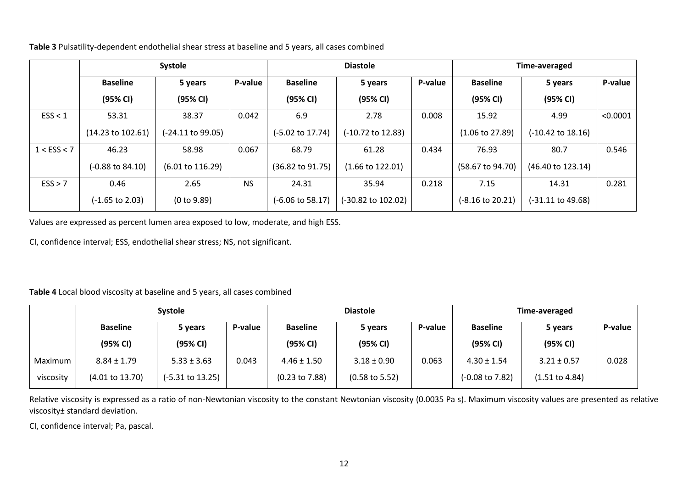**Table 3** Pulsatility-dependent endothelial shear stress at baseline and 5 years, all cases combined

|                 |                              | Systole                     |           | <b>Diastole</b>  |                              | Time-averaged |                            |                              |          |
|-----------------|------------------------------|-----------------------------|-----------|------------------|------------------------------|---------------|----------------------------|------------------------------|----------|
|                 | <b>Baseline</b>              | 5 years                     | P-value   | <b>Baseline</b>  | 5 years                      | P-value       | <b>Baseline</b>            | 5 years                      | P-value  |
|                 | (95% CI)                     | (95% CI)                    |           | (95% CI)         | (95% CI)                     |               | (95% CI)                   | (95% CI)                     |          |
| ESS < 1         | 53.31                        | 38.37                       | 0.042     | 6.9              | 2.78                         | 0.008         | 15.92                      | 4.99                         | < 0.0001 |
|                 | $(14.23 \text{ to } 102.61)$ | (-24.11 to 99.05)           |           | (-5.02 to 17.74) | $(-10.72 \text{ to } 12.83)$ |               | $(1.06 \text{ to } 27.89)$ | $(-10.42 \text{ to } 18.16)$ |          |
| $1 <$ ESS $<$ 7 | 46.23                        | 58.98                       | 0.067     | 68.79            | 61.28                        | 0.434         | 76.93                      | 80.7                         | 0.546    |
|                 | $(-0.88 \text{ to } 84.10)$  | $(6.01 \text{ to } 116.29)$ |           | (36.82 to 91.75) | $(1.66 \text{ to } 122.01)$  |               | (58.67 to 94.70)           | (46.40 to 123.14)            |          |
| ESS > 7         | 0.46                         | 2.65                        | <b>NS</b> | 24.31            | 35.94                        | 0.218         | 7.15                       | 14.31                        | 0.281    |
|                 | $(-1.65 \text{ to } 2.03)$   | (0 to 9.89)                 |           | (-6.06 to 58.17) | (-30.82 to 102.02)           |               | (-8.16 to 20.21)           | (-31.11 to 49.68)            |          |

Values are expressed as percent lumen area exposed to low, moderate, and high ESS.

CI, confidence interval; ESS, endothelial shear stress; NS, not significant.

**Table 4** Local blood viscosity at baseline and 5 years, all cases combined

|           |                                       | <b>Systole</b>              |                 | <b>Diastole</b>           |                           | Time-averaged   |                            |                           |       |
|-----------|---------------------------------------|-----------------------------|-----------------|---------------------------|---------------------------|-----------------|----------------------------|---------------------------|-------|
|           | <b>Baseline</b><br>P-value<br>5 years |                             | <b>Baseline</b> | P-value<br>5 years        |                           | <b>Baseline</b> | 5 years                    | P-value                   |       |
|           | (95% CI)                              | (95% CI)                    |                 | (95% CI)                  | (95% CI)                  |                 | (95% CI)                   | (95% CI)                  |       |
| Maximum   | $8.84 \pm 1.79$                       | $5.33 \pm 3.63$             | 0.043           | $4.46 \pm 1.50$           | $3.18 \pm 0.90$           | 0.063           | $4.30 \pm 1.54$            | $3.21 \pm 0.57$           | 0.028 |
| viscosity | $(4.01 \text{ to } 13.70)$            | $(-5.31 \text{ to } 13.25)$ |                 | $(0.23 \text{ to } 7.88)$ | $(0.58 \text{ to } 5.52)$ |                 | $(-0.08 \text{ to } 7.82)$ | $(1.51 \text{ to } 4.84)$ |       |

Relative viscosity is expressed as a ratio of non-Newtonian viscosity to the constant Newtonian viscosity (0.0035 Pa s). Maximum viscosity values are presented as relative viscosity± standard deviation.

CI, confidence interval; Pa, pascal.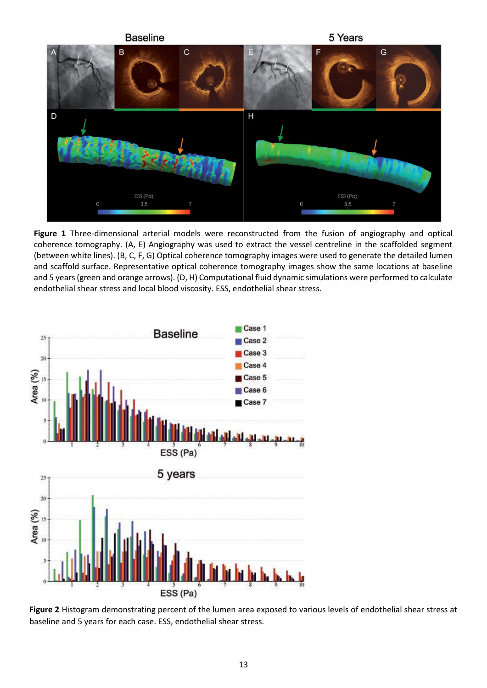

**Figure 1** Three-dimensional arterial models were reconstructed from the fusion of angiography and optical coherence tomography. (A, E) Angiography was used to extract the vessel centreline in the scaffolded segment (between white lines). (B, C, F, G) Optical coherence tomography images were used to generate the detailed lumen and scaffold surface. Representative optical coherence tomography images show the same locations at baseline and 5 years (green and orange arrows). (D, H) Computational fluid dynamic simulations were performed to calculate endothelial shear stress and local blood viscosity. ESS, endothelial shear stress.



**Figure 2** Histogram demonstrating percent of the lumen area exposed to various levels of endothelial shear stress at baseline and 5 years for each case. ESS, endothelial shear stress.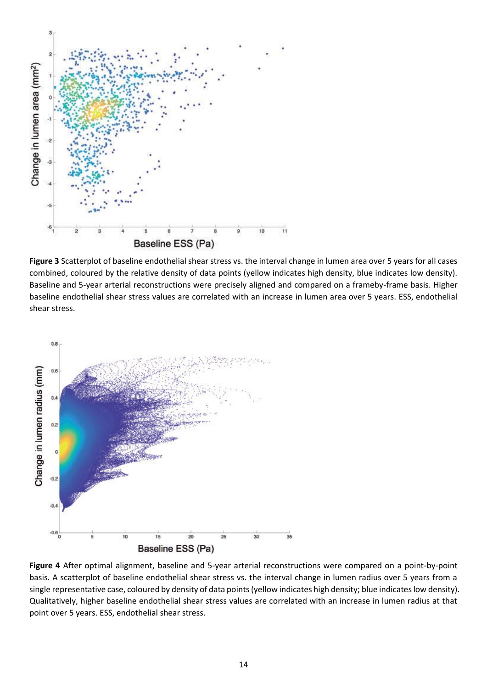

**Figure 3** Scatterplot of baseline endothelial shear stress vs. the interval change in lumen area over 5 years for all cases combined, coloured by the relative density of data points (yellow indicates high density, blue indicates low density). Baseline and 5-year arterial reconstructions were precisely aligned and compared on a frameby-frame basis. Higher baseline endothelial shear stress values are correlated with an increase in lumen area over 5 years. ESS, endothelial shear stress.



**Figure 4** After optimal alignment, baseline and 5-year arterial reconstructions were compared on a point-by-point basis. A scatterplot of baseline endothelial shear stress vs. the interval change in lumen radius over 5 years from a single representative case, coloured by density of data points (yellow indicates high density; blue indicates low density). Qualitatively, higher baseline endothelial shear stress values are correlated with an increase in lumen radius at that point over 5 years. ESS, endothelial shear stress.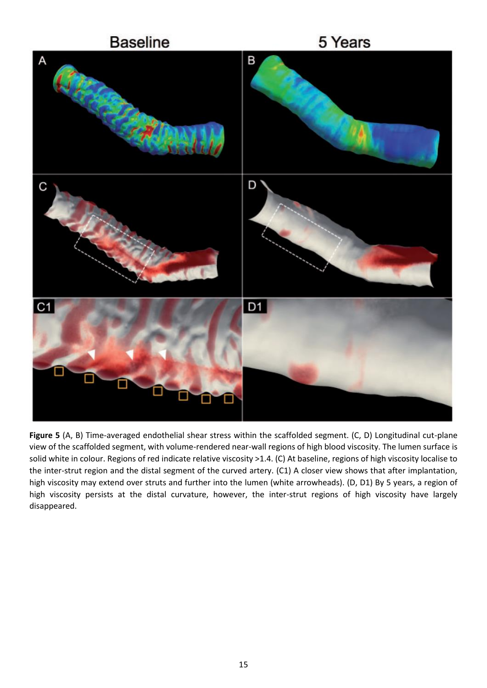

**Figure 5** (A, B) Time-averaged endothelial shear stress within the scaffolded segment. (C, D) Longitudinal cut-plane view of the scaffolded segment, with volume-rendered near-wall regions of high blood viscosity. The lumen surface is solid white in colour. Regions of red indicate relative viscosity >1.4. (C) At baseline, regions of high viscosity localise to the inter-strut region and the distal segment of the curved artery. (C1) A closer view shows that after implantation, high viscosity may extend over struts and further into the lumen (white arrowheads). (D, D1) By 5 years, a region of high viscosity persists at the distal curvature, however, the inter-strut regions of high viscosity have largely disappeared.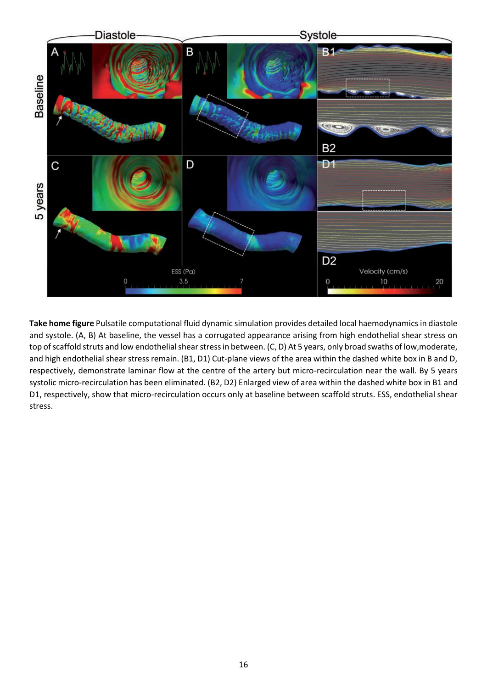

**Take home figure** Pulsatile computational fluid dynamic simulation provides detailed local haemodynamics in diastole and systole. (A, B) At baseline, the vessel has a corrugated appearance arising from high endothelial shear stress on top of scaffold struts and low endothelial shear stress in between. (C, D) At 5 years, only broad swaths of low,moderate, and high endothelial shear stress remain. (B1, D1) Cut-plane views of the area within the dashed white box in B and D, respectively, demonstrate laminar flow at the centre of the artery but micro-recirculation near the wall. By 5 years systolic micro-recirculation has been eliminated. (B2, D2) Enlarged view of area within the dashed white box in B1 and D1, respectively, show that micro-recirculation occurs only at baseline between scaffold struts. ESS, endothelial shear stress.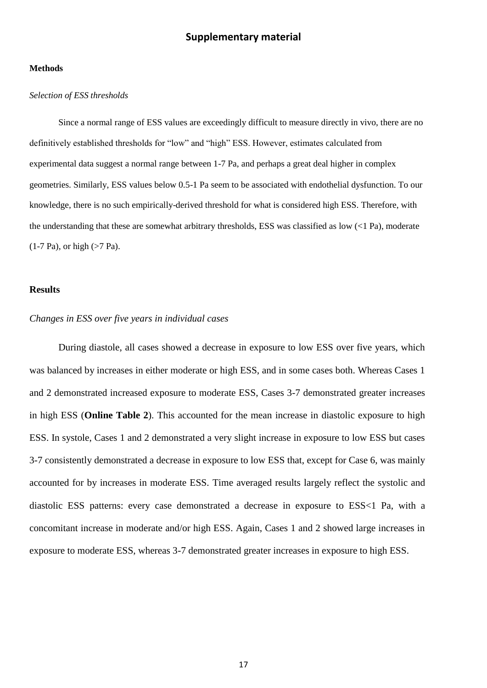### **Supplementary material**

#### **Methods**

#### *Selection of ESS thresholds*

Since a normal range of ESS values are exceedingly difficult to measure directly in vivo, there are no definitively established thresholds for "low" and "high" ESS. However, estimates calculated from experimental data suggest a normal range between 1-7 Pa, and perhaps a great deal higher in complex geometries. Similarly, ESS values below 0.5-1 Pa seem to be associated with endothelial dysfunction. To our knowledge, there is no such empirically-derived threshold for what is considered high ESS. Therefore, with the understanding that these are somewhat arbitrary thresholds, ESS was classified as low (<1 Pa), moderate  $(1-7 \text{ Pa})$ , or high  $(>7 \text{ Pa})$ .

#### **Results**

#### *Changes in ESS over five years in individual cases*

During diastole, all cases showed a decrease in exposure to low ESS over five years, which was balanced by increases in either moderate or high ESS, and in some cases both. Whereas Cases 1 and 2 demonstrated increased exposure to moderate ESS, Cases 3-7 demonstrated greater increases in high ESS (**Online Table 2**). This accounted for the mean increase in diastolic exposure to high ESS. In systole, Cases 1 and 2 demonstrated a very slight increase in exposure to low ESS but cases 3-7 consistently demonstrated a decrease in exposure to low ESS that, except for Case 6, was mainly accounted for by increases in moderate ESS. Time averaged results largely reflect the systolic and diastolic ESS patterns: every case demonstrated a decrease in exposure to ESS<1 Pa, with a concomitant increase in moderate and/or high ESS. Again, Cases 1 and 2 showed large increases in exposure to moderate ESS, whereas 3-7 demonstrated greater increases in exposure to high ESS.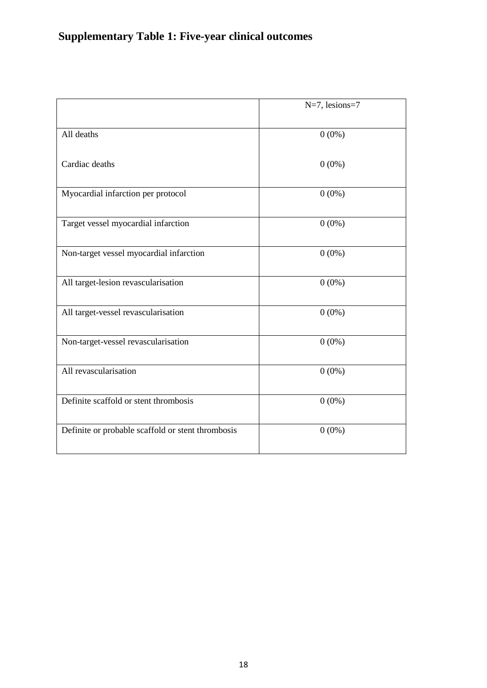# **Supplementary Table 1: Five-year clinical outcomes**

|                                                   | $N=7$ , lesions=7 |
|---------------------------------------------------|-------------------|
| All deaths                                        | $0(0\%)$          |
| Cardiac deaths                                    | $0(0\%)$          |
| Myocardial infarction per protocol                | $0(0\%)$          |
| Target vessel myocardial infarction               | $0(0\%)$          |
| Non-target vessel myocardial infarction           | $0(0\%)$          |
| All target-lesion revascularisation               | $0(0\%)$          |
| All target-vessel revascularisation               | $0(0\%)$          |
| Non-target-vessel revascularisation               | $0(0\%)$          |
| All revascularisation                             | $0(0\%)$          |
| Definite scaffold or stent thrombosis             | $0(0\%)$          |
| Definite or probable scaffold or stent thrombosis | $0(0\%)$          |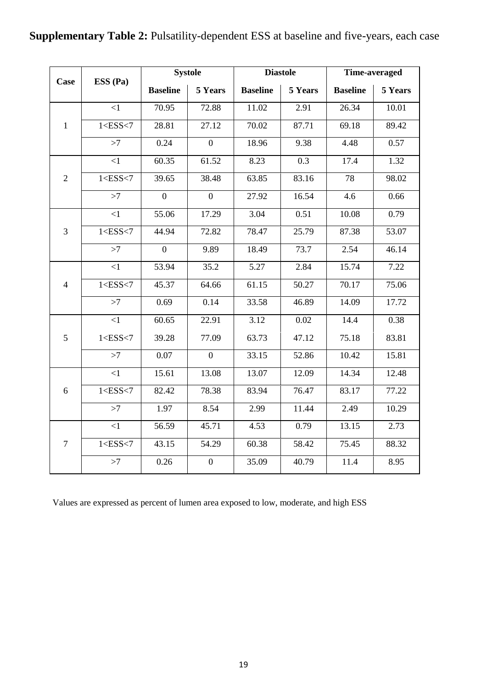# **Supplementary Table 2:** Pulsatility-dependent ESS at baseline and five-years, each case

| <b>Case</b>    |                 |                  | <b>Systole</b>   |                 | <b>Diastole</b>  | Time-averaged   |         |  |
|----------------|-----------------|------------------|------------------|-----------------|------------------|-----------------|---------|--|
|                | ESS (Pa)        | <b>Baseline</b>  | 5 Years          | <b>Baseline</b> | 5 Years          | <b>Baseline</b> | 5 Years |  |
|                | $\leq$ 1        | 70.95            | 72.88            | 11.02           | 2.91             | 26.34           | 10.01   |  |
| $\mathbf{1}$   | $1 <$ ESS $<$ 7 | 28.81            | 27.12            | 70.02           | 87.71            | 69.18           | 89.42   |  |
|                | >7              | 0.24             | $\overline{0}$   | 18.96           | 9.38             | 4.48            | 0.57    |  |
|                | $\overline{1}$  | 60.35            | 61.52            | 8.23            | $\overline{0.3}$ | 17.4            | 1.32    |  |
| $\overline{2}$ | $1 <$ ESS $<$ 7 | 39.65            | 38.48            | 63.85           | 83.16            | 78              | 98.02   |  |
|                | >7              | $\boldsymbol{0}$ | $\overline{0}$   | 27.92           | 16.54            | 4.6             | 0.66    |  |
|                | $\leq$ 1        | 55.06            | 17.29            | 3.04            | 0.51             | 10.08           | 0.79    |  |
| 3              | $1 <$ ESS $<$ 7 | 44.94            | 72.82            | 78.47           | 25.79            | 87.38           | 53.07   |  |
|                | >7              | $\overline{0}$   | 9.89             | 18.49           | 73.7             | 2.54            | 46.14   |  |
|                | $\leq$ 1        | 53.94            | 35.2             | 5.27            | 2.84             | 15.74           | 7.22    |  |
| $\overline{4}$ | $1 <$ ESS $<$ 7 | 45.37            | 64.66            | 61.15           | 50.27            | 70.17           | 75.06   |  |
|                | >7              | 0.69             | 0.14             | 33.58           | 46.89            | 14.09           | 17.72   |  |
|                | $\leq$ 1        | 60.65            | 22.91            | 3.12            | 0.02             | 14.4            | 0.38    |  |
| 5              | $1 <$ ESS $<$ 7 | 39.28            | 77.09            | 63.73           | 47.12            | 75.18           | 83.81   |  |
|                | >7              | 0.07             | $\overline{0}$   | 33.15           | 52.86            | 10.42           | 15.81   |  |
|                | $\overline{1}$  | 15.61            | 13.08            | 13.07           | 12.09            | 14.34           | 12.48   |  |
| 6              | 1 < ESS < 7     | 82.42            | 78.38            | 83.94           | 76.47            | 83.17           | 77.22   |  |
|                | >7              | 1.97             | 8.54             | 2.99            | 11.44            | 2.49            | 10.29   |  |
|                | $<1\,$          | 56.59            | 45.71            | 4.53            | 0.79             | 13.15           | 2.73    |  |
| $\tau$         | $1 <$ ESS $<$ 7 | 43.15            | 54.29            | 60.38           | 58.42            | 75.45           | 88.32   |  |
|                | >7              | 0.26             | $\boldsymbol{0}$ | 35.09           | 40.79            | 11.4            | 8.95    |  |

Values are expressed as percent of lumen area exposed to low, moderate, and high ESS